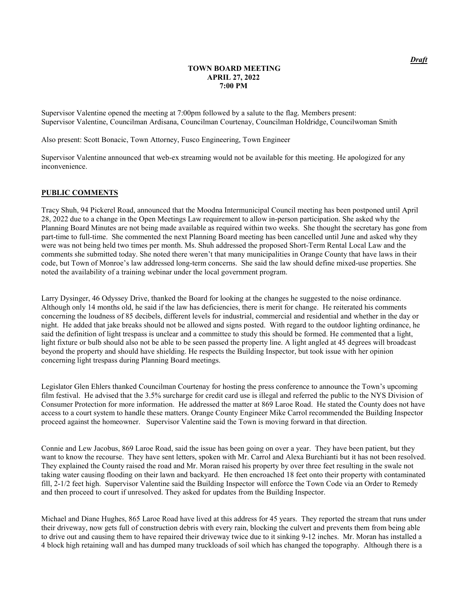### **TOWN BOARD MEETING APRIL 27, 2022 7:00 PM**

Supervisor Valentine opened the meeting at 7:00pm followed by a salute to the flag. Members present: Supervisor Valentine, Councilman Ardisana, Councilman Courtenay, Councilman Holdridge, Councilwoman Smith

Also present: Scott Bonacic, Town Attorney, Fusco Engineering, Town Engineer

Supervisor Valentine announced that web-ex streaming would not be available for this meeting. He apologized for any inconvenience.

### **PUBLIC COMMENTS**

Tracy Shuh, 94 Pickerel Road, announced that the Moodna Intermunicipal Council meeting has been postponed until April 28, 2022 due to a change in the Open Meetings Law requirement to allow in-person participation. She asked why the Planning Board Minutes are not being made available as required within two weeks. She thought the secretary has gone from part-time to full-time. She commented the next Planning Board meeting has been cancelled until June and asked why they were was not being held two times per month. Ms. Shuh addressed the proposed Short-Term Rental Local Law and the comments she submitted today. She noted there weren't that many municipalities in Orange County that have laws in their code, but Town of Monroe's law addressed long-term concerns. She said the law should define mixed-use properties. She noted the availability of a training webinar under the local government program.

Larry Dysinger, 46 Odyssey Drive, thanked the Board for looking at the changes he suggested to the noise ordinance. Although only 14 months old, he said if the law has deficiencies, there is merit for change. He reiterated his comments concerning the loudness of 85 decibels, different levels for industrial, commercial and residential and whether in the day or night. He added that jake breaks should not be allowed and signs posted. With regard to the outdoor lighting ordinance, he said the definition of light trespass is unclear and a committee to study this should be formed. He commented that a light, light fixture or bulb should also not be able to be seen passed the property line. A light angled at 45 degrees will broadcast beyond the property and should have shielding. He respects the Building Inspector, but took issue with her opinion concerning light trespass during Planning Board meetings.

Legislator Glen Ehlers thanked Councilman Courtenay for hosting the press conference to announce the Town's upcoming film festival. He advised that the 3.5% surcharge for credit card use is illegal and referred the public to the NYS Division of Consumer Protection for more information. He addressed the matter at 869 Laroe Road. He stated the County does not have access to a court system to handle these matters. Orange County Engineer Mike Carrol recommended the Building Inspector proceed against the homeowner. Supervisor Valentine said the Town is moving forward in that direction.

Connie and Lew Jacobus, 869 Laroe Road, said the issue has been going on over a year. They have been patient, but they want to know the recourse. They have sent letters, spoken with Mr. Carrol and Alexa Burchianti but it has not been resolved. They explained the County raised the road and Mr. Moran raised his property by over three feet resulting in the swale not taking water causing flooding on their lawn and backyard. He then encroached 18 feet onto their property with contaminated fill, 2-1/2 feet high. Supervisor Valentine said the Building Inspector will enforce the Town Code via an Order to Remedy and then proceed to court if unresolved. They asked for updates from the Building Inspector.

Michael and Diane Hughes, 865 Laroe Road have lived at this address for 45 years. They reported the stream that runs under their driveway, now gets full of construction debris with every rain, blocking the culvert and prevents them from being able to drive out and causing them to have repaired their driveway twice due to it sinking 9-12 inches. Mr. Moran has installed a 4 block high retaining wall and has dumped many truckloads of soil which has changed the topography. Although there is a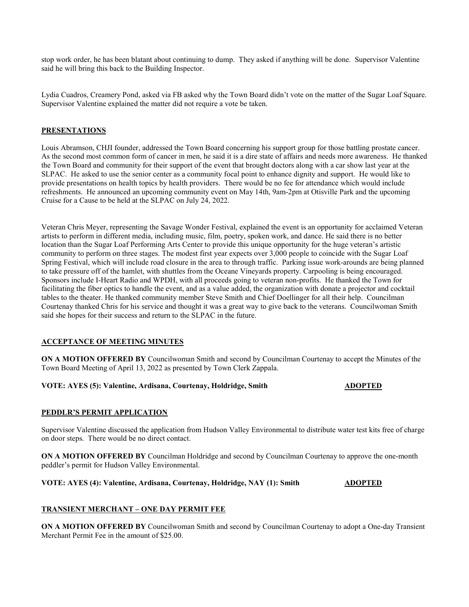stop work order, he has been blatant about continuing to dump. They asked if anything will be done. Supervisor Valentine said he will bring this back to the Building Inspector.

Lydia Cuadros, Creamery Pond, asked via FB asked why the Town Board didn't vote on the matter of the Sugar Loaf Square. Supervisor Valentine explained the matter did not require a vote be taken.

# **PRESENTATIONS**

Louis Abramson, CHJI founder, addressed the Town Board concerning his support group for those battling prostate cancer. As the second most common form of cancer in men, he said it is a dire state of affairs and needs more awareness. He thanked the Town Board and community for their support of the event that brought doctors along with a car show last year at the SLPAC. He asked to use the senior center as a community focal point to enhance dignity and support. He would like to provide presentations on health topics by health providers. There would be no fee for attendance which would include refreshments. He announced an upcoming community event on May 14th, 9am-2pm at Otisville Park and the upcoming Cruise for a Cause to be held at the SLPAC on July 24, 2022.

Veteran Chris Meyer, representing the Savage Wonder Festival, explained the event is an opportunity for acclaimed Veteran artists to perform in different media, including music, film, poetry, spoken work, and dance. He said there is no better location than the Sugar Loaf Performing Arts Center to provide this unique opportunity for the huge veteran's artistic community to perform on three stages. The modest first year expects over 3,000 people to coincide with the Sugar Loaf Spring Festival, which will include road closure in the area to through traffic. Parking issue work-arounds are being planned to take pressure off of the hamlet, with shuttles from the Oceane Vineyards property. Carpooling is being encouraged. Sponsors include I-Heart Radio and WPDH, with all proceeds going to veteran non-profits. He thanked the Town for facilitating the fiber optics to handle the event, and as a value added, the organization with donate a projector and cocktail tables to the theater. He thanked community member Steve Smith and Chief Doellinger for all their help. Councilman Courtenay thanked Chris for his service and thought it was a great way to give back to the veterans. Councilwoman Smith said she hopes for their success and return to the SLPAC in the future.

# **ACCEPTANCE OF MEETING MINUTES**

**ON A MOTION OFFERED BY** Councilwoman Smith and second by Councilman Courtenay to accept the Minutes of the Town Board Meeting of April 13, 2022 as presented by Town Clerk Zappala.

# **VOTE: AYES (5): Valentine, Ardisana, Courtenay, Holdridge, Smith <b>ADOPTED**

# **PEDDLR'S PERMIT APPLICATION**

Supervisor Valentine discussed the application from Hudson Valley Environmental to distribute water test kits free of charge on door steps. There would be no direct contact.

**ON A MOTION OFFERED BY** Councilman Holdridge and second by Councilman Courtenay to approve the one-month peddler's permit for Hudson Valley Environmental.

# **VOTE: AYES (4): Valentine, Ardisana, Courtenay, Holdridge, NAY (1): Smith <b>ADOPTED**

# **TRANSIENT MERCHANT – ONE DAY PERMIT FEE**

**ON A MOTION OFFERED BY** Councilwoman Smith and second by Councilman Courtenay to adopt a One-day Transient Merchant Permit Fee in the amount of \$25.00.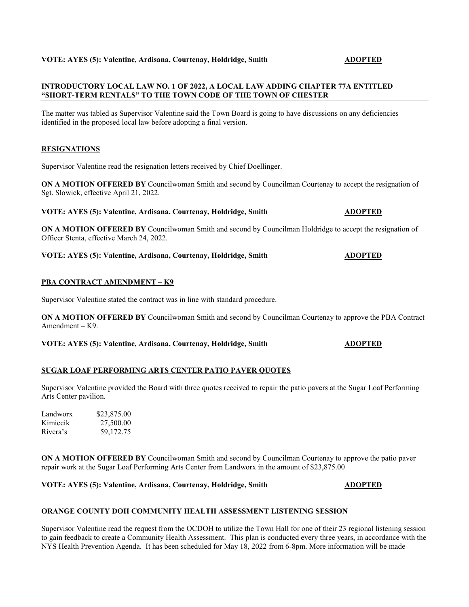# **VOTE: AYES (5): Valentine, Ardisana, Courtenay, Holdridge, Smith ADOPTED**

# **INTRODUCTORY LOCAL LAW NO. 1 OF 2022, A LOCAL LAW ADDING CHAPTER 77A ENTITLED "SHORT-TERM RENTALS" TO THE TOWN CODE OF THE TOWN OF CHESTER**

The matter was tabled as Supervisor Valentine said the Town Board is going to have discussions on any deficiencies identified in the proposed local law before adopting a final version.

# **RESIGNATIONS**

Supervisor Valentine read the resignation letters received by Chief Doellinger.

**ON A MOTION OFFERED BY** Councilwoman Smith and second by Councilman Courtenay to accept the resignation of Sgt. Slowick, effective April 21, 2022.

# **VOTE: AYES (5): Valentine, Ardisana, Courtenay, Holdridge, Smith ADOPTED**

**ON A MOTION OFFERED BY** Councilwoman Smith and second by Councilman Holdridge to accept the resignation of Officer Stenta, effective March 24, 2022.

# **VOTE: AYES (5): Valentine, Ardisana, Courtenay, Holdridge, Smith <b>ADOPTED**

# **PBA CONTRACT AMENDMENT – K9**

Supervisor Valentine stated the contract was in line with standard procedure.

**ON A MOTION OFFERED BY** Councilwoman Smith and second by Councilman Courtenay to approve the PBA Contract Amendment – K9.

**VOTE: AYES (5): Valentine, Ardisana, Courtenay, Holdridge, Smith ADOPTED**

# **SUGAR LOAF PERFORMING ARTS CENTER PATIO PAVER QUOTES**

Supervisor Valentine provided the Board with three quotes received to repair the patio pavers at the Sugar Loaf Performing Arts Center pavilion.

| Landworx | \$23,875.00 |
|----------|-------------|
| Kimiecik | 27,500.00   |
| Rivera's | 59,172.75   |

**ON A MOTION OFFERED BY** Councilwoman Smith and second by Councilman Courtenay to approve the patio paver repair work at the Sugar Loaf Performing Arts Center from Landworx in the amount of \$23,875.00

# **VOTE: AYES (5): Valentine, Ardisana, Courtenay, Holdridge, Smith ADOPTED**

# **ORANGE COUNTY DOH COMMUNITY HEALTH ASSESSMENT LISTENING SESSION**

Supervisor Valentine read the request from the OCDOH to utilize the Town Hall for one of their 23 regional listening session to gain feedback to create a Community Health Assessment. This plan is conducted every three years, in accordance with the NYS Health Prevention Agenda. It has been scheduled for May 18, 2022 from 6-8pm. More information will be made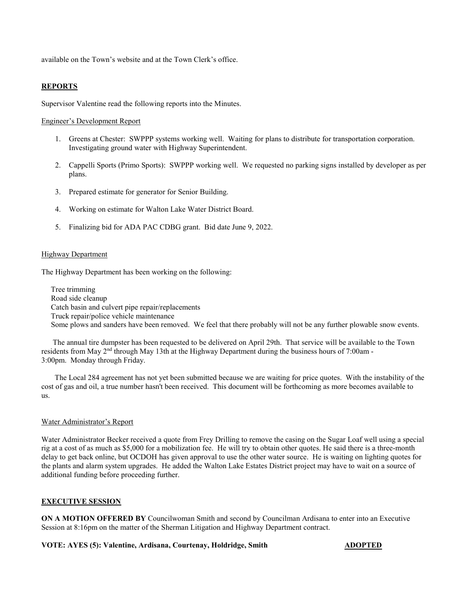available on the Town's website and at the Town Clerk's office.

# **REPORTS**

Supervisor Valentine read the following reports into the Minutes.

### Engineer's Development Report

- 1. Greens at Chester: SWPPP systems working well. Waiting for plans to distribute for transportation corporation. Investigating ground water with Highway Superintendent.
- 2. Cappelli Sports (Primo Sports): SWPPP working well. We requested no parking signs installed by developer as per plans.
- 3. Prepared estimate for generator for Senior Building.
- 4. Working on estimate for Walton Lake Water District Board.
- 5. Finalizing bid for ADA PAC CDBG grant. Bid date June 9, 2022.

### Highway Department

The Highway Department has been working on the following:

Tree trimming Road side cleanup Catch basin and culvert pipe repair/replacements Truck repair/police vehicle maintenance Some plows and sanders have been removed. We feel that there probably will not be any further plowable snow events.

The annual tire dumpster has been requested to be delivered on April 29th. That service will be available to the Town residents from May 2nd through May 13th at the Highway Department during the business hours of 7:00am - 3:00pm. Monday through Friday.

The Local 284 agreement has not yet been submitted because we are waiting for price quotes. With the instability of the cost of gas and oil, a true number hasn't been received. This document will be forthcoming as more becomes available to us.

## Water Administrator's Report

Water Administrator Becker received a quote from Frey Drilling to remove the casing on the Sugar Loaf well using a special rig at a cost of as much as \$5,000 for a mobilization fee. He will try to obtain other quotes. He said there is a three-month delay to get back online, but OCDOH has given approval to use the other water source. He is waiting on lighting quotes for the plants and alarm system upgrades. He added the Walton Lake Estates District project may have to wait on a source of additional funding before proceeding further.

### **EXECUTIVE SESSION**

**ON A MOTION OFFERED BY** Councilwoman Smith and second by Councilman Ardisana to enter into an Executive Session at 8:16pm on the matter of the Sherman Litigation and Highway Department contract.

### **VOTE: AYES (5): Valentine, Ardisana, Courtenay, Holdridge, Smith ADOPTED**